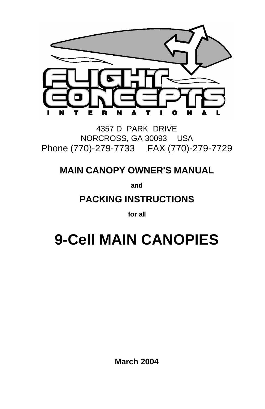

4357 D PARK DRIVE NORCROSS, GA 30093 USA Phone (770)-279-7733 FAX (770)-279-7729

### **MAIN CANOPY OWNER'S MANUAL**

**and**

### **PACKING INSTRUCTIONS**

**for all**

# **9-Cell MAIN CANOPIES**

**March 2004**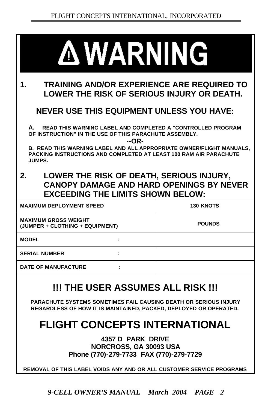| <b>A WARNING</b>                                                                                                                                                                                                                                                                         |                  |  |  |  |  |  |  |  |
|------------------------------------------------------------------------------------------------------------------------------------------------------------------------------------------------------------------------------------------------------------------------------------------|------------------|--|--|--|--|--|--|--|
| TRAINING AND/OR EXPERIENCE ARE REQUIRED TO<br>1.<br>LOWER THE RISK OF SERIOUS INJURY OR DEATH.                                                                                                                                                                                           |                  |  |  |  |  |  |  |  |
| <b>NEVER USE THIS EQUIPMENT UNLESS YOU HAVE:</b>                                                                                                                                                                                                                                         |                  |  |  |  |  |  |  |  |
| A. READ THIS WARNING LABEL AND COMPLETED A "CONTROLLED PROGRAM<br>OF INSTRUCTION" IN THE USE OF THIS PARACHUTE ASSEMBLY.<br>--OR-<br>B. READ THIS WARNING LABEL AND ALL APPROPRIATE OWNER/FLIGHT MANUALS,<br>PACKING INSTRUCTIONS AND COMPLETED AT LEAST 100 RAM AIR PARACHUTE<br>JUMPS. |                  |  |  |  |  |  |  |  |
| LOWER THE RISK OF DEATH, SERIOUS INJURY,<br>2.<br><b>CANOPY DAMAGE AND HARD OPENINGS BY NEVER</b><br><b>EXCEEDING THE LIMITS SHOWN BELOW:</b>                                                                                                                                            |                  |  |  |  |  |  |  |  |
| <b>MAXIMUM DEPLOYMENT SPEED</b>                                                                                                                                                                                                                                                          | <b>130 KNOTS</b> |  |  |  |  |  |  |  |
| <b>MAXIMUM GROSS WEIGHT</b><br>(JUMPER + CLOTHING + EQUIPMENT)                                                                                                                                                                                                                           | <b>POUNDS</b>    |  |  |  |  |  |  |  |
| <b>MODEL</b>                                                                                                                                                                                                                                                                             |                  |  |  |  |  |  |  |  |
| <b>SERIAL NUMBER</b>                                                                                                                                                                                                                                                                     |                  |  |  |  |  |  |  |  |
| <b>DATE OF MANUFACTURE</b>                                                                                                                                                                                                                                                               |                  |  |  |  |  |  |  |  |
|                                                                                                                                                                                                                                                                                          |                  |  |  |  |  |  |  |  |

### **!!! THE USER ASSUMES ALL RISK !!!**

**PARACHUTE SYSTEMS SOMETIMES FAIL CAUSING DEATH OR SERIOUS INJURY REGARDLESS OF HOW IT IS MAINTAINED, PACKED, DEPLOYED OR OPERATED.**

### **FLIGHT CONCEPTS INTERNATIONAL**

**4357 D PARK DRIVE NORCROSS, GA 30093 USA Phone (770)-279-7733 FAX (770)-279-7729**

**REMOVAL OF THIS LABEL VOIDS ANY AND OR ALL CUSTOMER SERVICE PROGRAMS**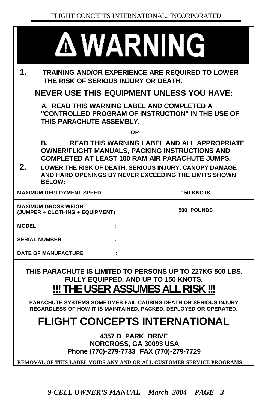|                      | <b>A WARNING</b>                                                                       |                                                                                                                                                                                                                                 |
|----------------------|----------------------------------------------------------------------------------------|---------------------------------------------------------------------------------------------------------------------------------------------------------------------------------------------------------------------------------|
| 1.                   | THE RISK OF SERIOUS INJURY OR DEATH.                                                   | <b>TRAINING AND/OR EXPERIENCE ARE REQUIRED TO LOWER</b>                                                                                                                                                                         |
|                      |                                                                                        | <b>NEVER USE THIS EQUIPMENT UNLESS YOU HAVE:</b>                                                                                                                                                                                |
|                      | A. READ THIS WARNING LABEL AND COMPLETED A<br>THIS PARACHUTE ASSEMBLY.                 | "CONTROLLED PROGRAM OF INSTRUCTION" IN THE USE OF                                                                                                                                                                               |
|                      | $-OR-$                                                                                 |                                                                                                                                                                                                                                 |
| В.<br>2.             |                                                                                        | <b>READ THIS WARNING LABEL AND ALL APPROPRIATE</b><br><b>OWNER/FLIGHT MANUALS, PACKING INSTRUCTIONS AND</b><br><b>COMPLETED AT LEAST 100 RAM AIR PARACHUTE JUMPS.</b><br>LOWER THE RISK OF DEATH, SERIOUS INJURY, CANOPY DAMAGE |
|                      | <b>BELOW:</b>                                                                          | AND HARD OPENINGS BY NEVER EXCEEDING THE LIMITS SHOWN                                                                                                                                                                           |
|                      | <b>MAXIMUM DEPLOYMENT SPEED</b>                                                        | <b>150 KNOTS</b>                                                                                                                                                                                                                |
|                      | <b>MAXIMUM GROSS WEIGHT</b><br>(JUMPER + CLOTHING + EQUIPMENT)                         | 500 POUNDS                                                                                                                                                                                                                      |
| <b>MODEL</b>         | ÷                                                                                      |                                                                                                                                                                                                                                 |
| <b>SERIAL NUMBER</b> | ÷                                                                                      |                                                                                                                                                                                                                                 |
|                      | <b>DATE OF MANUFACTURE</b><br>÷                                                        |                                                                                                                                                                                                                                 |
|                      | FULLY EQUIPPED, AND UP TO 150 KNOTS.<br>!!! THE USER ASSUMES ALL RISK !!!              | THIS PARACHUTE IS LIMITED TO PERSONS UP TO 227KG 500 LBS.                                                                                                                                                                       |
|                      |                                                                                        | <b>PARACHUTE SYSTEMS SOMETIMES FAIL CAUSING DEATH OR SERIOUS INJURY</b><br>REGARDLESS OF HOW IT IS MAINTAINED, PACKED, DEPLOYED OR OPERATED.                                                                                    |
|                      |                                                                                        | <b>FLIGHT CONCEPTS INTERNATIONAL</b>                                                                                                                                                                                            |
|                      | 4357 D PARK DRIVE<br>NORCROSS, GA 30093 USA<br>Phone (770)-279-7733 FAX (770)-279-7729 |                                                                                                                                                                                                                                 |

**REMOVAL OF THIS LABEL VOIDS ANY AND OR ALL CUSTOMER SERVICE PROGRAMS**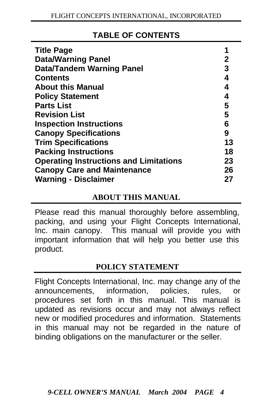#### **TABLE OF CONTENTS**

| <b>Title Page</b>                             | 1  |
|-----------------------------------------------|----|
| <b>Data/Warning Panel</b>                     | 2  |
| <b>Data/Tandem Warning Panel</b>              | 3  |
| <b>Contents</b>                               | 4  |
| <b>About this Manual</b>                      | 4  |
| <b>Policy Statement</b>                       | 4  |
| <b>Parts List</b>                             | 5  |
| <b>Revision List</b>                          | 5  |
| <b>Inspection Instructions</b>                | 6  |
| <b>Canopy Specifications</b>                  | 9  |
| <b>Trim Specifications</b>                    | 13 |
| <b>Packing Instructions</b>                   | 18 |
| <b>Operating Instructions and Limitations</b> | 23 |
| <b>Canopy Care and Maintenance</b>            | 26 |
| <b>Warning - Disclaimer</b>                   | 27 |

#### **ABOUT THIS MANUAL**

Please read this manual thoroughly before assembling, packing, and using your Flight Concepts International, Inc. main canopy. This manual will provide you with important information that will help you better use this product.

#### **POLICY STATEMENT**

Flight Concepts International, Inc. may change any of the announcements, information, policies, rules, or procedures set forth in this manual. This manual is updated as revisions occur and may not always reflect new or modified procedures and information. Statements in this manual may not be regarded in the nature of binding obligations on the manufacturer or the seller.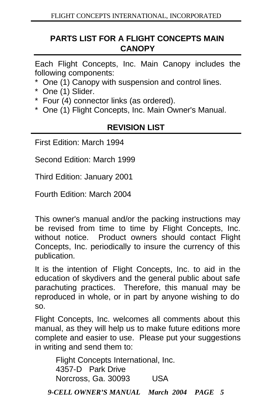#### **PARTS LIST FOR A FLIGHT CONCEPTS MAIN CANOPY**

Each Flight Concepts, Inc. Main Canopy includes the following components:

- \* One (1) Canopy with suspension and control lines.
- \* One (1) Slider.
- \* Four (4) connector links (as ordered).
- \* One (1) Flight Concepts, Inc. Main Owner's Manual.

#### **REVISION LIST**

First Edition: March 1994

Second Edition: March 1999

Third Edition: January 2001

Fourth Edition: March 2004

This owner's manual and/or the packing instructions may be revised from time to time by Flight Concepts, Inc. without notice. Product owners should contact Flight Concepts, Inc. periodically to insure the currency of this publication.

It is the intention of Flight Concepts, Inc. to aid in the education of skydivers and the general public about safe parachuting practices. Therefore, this manual may be reproduced in whole, or in part by anyone wishing to do so.

Flight Concepts, Inc. welcomes all comments about this manual, as they will help us to make future editions more complete and easier to use. Please put your suggestions in writing and send them to:

*9-CELL OWNER'S MANUAL March 2004 PAGE 5* Flight Concepts International, Inc. 4357-D Park Drive Norcross, Ga. 30093 USA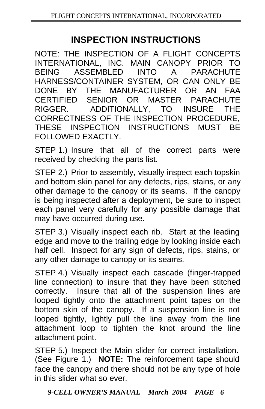### **INSPECTION INSTRUCTIONS**

NOTE: THE INSPECTION OF A FLIGHT CONCEPTS INTERNATIONAL, INC. MAIN CANOPY PRIOR TO BEING ASSEMBLED INTO A PARACHUTE HARNESS/CONTAINER SYSTEM, OR CAN ONLY BE DONE BY THE MANUFACTURER OR AN FAA CERTIFIED SENIOR OR MASTER PARACHUTE RIGGER. ADDITIONALLY, TO INSURE THE CORRECTNESS OF THE INSPECTION PROCEDURE, THESE INSPECTION INSTRUCTIONS MUST BE FOLLOWED EXACTLY.

STEP 1.) Insure that all of the correct parts were received by checking the parts list.

STEP 2.) Prior to assembly, visually inspect each topskin and bottom skin panel for any defects, rips, stains, or any other damage to the canopy or its seams. If the canopy is being inspected after a deployment, be sure to inspect each panel very carefully for any possible damage that may have occurred during use.

STEP 3.) Visually inspect each rib. Start at the leading edge and move to the trailing edge by looking inside each half cell. Inspect for any sign of defects, rips, stains, or any other damage to canopy or its seams.

STEP 4.) Visually inspect each cascade (finger-trapped line connection) to insure that they have been stitched correctly. Insure that all of the suspension lines are looped tightly onto the attachment point tapes on the bottom skin of the canopy. If a suspension line is not looped tightly, lightly pull the line away from the line attachment loop to tighten the knot around the line attachment point.

STEP 5.) Inspect the Main slider for correct installation. (See Figure 1.) **NOTE:** The reinforcement tape should face the canopy and there should not be any type of hole in this slider what so ever.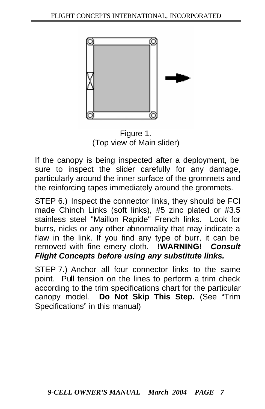

Figure 1. (Top view of Main slider)

If the canopy is being inspected after a deployment, be sure to inspect the slider carefully for any damage, particularly around the inner surface of the grommets and the reinforcing tapes immediately around the grommets.

STEP 6.) Inspect the connector links, they should be FCI made Chinch Links (soft links), #5 zinc plated or #3.5 stainless steel "Maillon Rapide" French links. Look for burrs, nicks or any other abnormality that may indicate a flaw in the link. If you find any type of burr, it can be removed with fine emery cloth. **!WARNING!** *Consult Flight Concepts before using any substitute links.*

STEP 7.) Anchor all four connector links to the same point. Pull tension on the lines to perform a trim check according to the trim specifications chart for the particular canopy model. **Do Not Skip This Step.** (See "Trim Specifications" in this manual)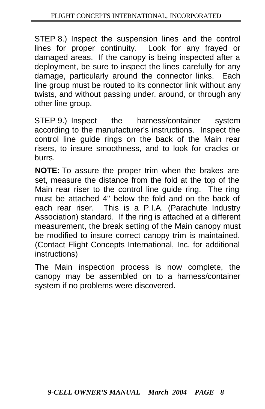STEP 8.) Inspect the suspension lines and the control lines for proper continuity. Look for any frayed or damaged areas. If the canopy is being inspected after a deployment, be sure to inspect the lines carefully for any damage, particularly around the connector links. Each line group must be routed to its connector link without any twists, and without passing under, around, or through any other line group.

STEP 9.) Inspect the harness/container system according to the manufacturer's instructions. Inspect the control line guide rings on the back of the Main rear risers, to insure smoothness, and to look for cracks or burrs.

**NOTE:** To assure the proper trim when the brakes are set, measure the distance from the fold at the top of the Main rear riser to the control line guide ring. The ring must be attached 4" below the fold and on the back of each rear riser. This is a P.I.A. (Parachute Industry Association) standard. If the ring is attached at a different measurement, the break setting of the Main canopy must be modified to insure correct canopy trim is maintained. (Contact Flight Concepts International, Inc. for additional instructions)

The Main inspection process is now complete, the canopy may be assembled on to a harness/container system if no problems were discovered.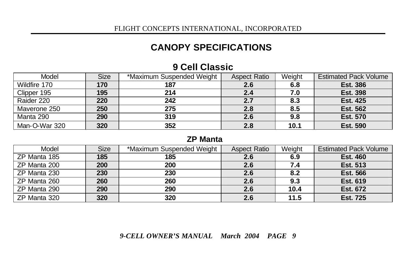### **CANOPY SPECIFICATIONS**

| Model         | Size | *Maximum Suspended Weight | <b>Aspect Ratio</b> | Weight | <b>Estimated Pack Volume</b> |
|---------------|------|---------------------------|---------------------|--------|------------------------------|
| Wildfire 170  | 170  | 187                       | 2.6                 | 6.8    | <b>Est. 386</b>              |
| Clipper 195   | 195  | 214                       | 2.4                 | 7.0    | <b>Est. 398</b>              |
| Raider 220    | 220  | 242                       | 2.7                 | 8.3    | <b>Est. 425</b>              |
| Maverone 250  | 250  | 275                       | 2.8                 | 8.5    | <b>Est. 562</b>              |
| Manta 290     | 290  | 319                       | 2.6                 | 9.8    | <b>Est. 570</b>              |
| Man-O-War 320 | 320  | 352                       | 2.8                 | 10.1   | <b>Est. 590</b>              |

#### **9 Cell Classic**

#### **ZP Manta**

| Model        | <b>Size</b> | *Maximum Suspended Weight | <b>Aspect Ratio</b> | Weight | <b>Estimated Pack Volume</b> |
|--------------|-------------|---------------------------|---------------------|--------|------------------------------|
| ZP Manta 185 | 185         | 185                       | 2.6                 | 6.9    | <b>Est. 460</b>              |
| ZP Manta 200 | 200         | 200                       | 2.6                 | 7.4    | <b>Est. 513</b>              |
| ZP Manta 230 | 230         | 230                       | 2.6                 | 8.2    | <b>Est. 566</b>              |
| ZP Manta 260 | 260         | 260                       | 2.6                 | 9.3    | <b>Est. 619</b>              |
| ZP Manta 290 | 290         | 290                       | 2.6                 | 10.4   | <b>Est. 672</b>              |
| ZP Manta 320 | 320         | 320                       | 2.6                 | 11.5   | <b>Est. 725</b>              |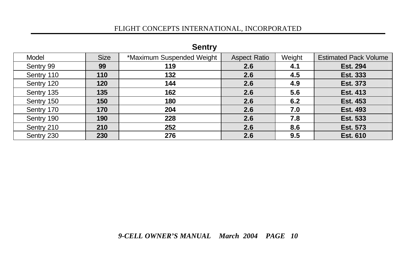| pentry     |             |                           |                     |        |                              |  |  |  |  |  |  |
|------------|-------------|---------------------------|---------------------|--------|------------------------------|--|--|--|--|--|--|
| Model      | <b>Size</b> | *Maximum Suspended Weight | <b>Aspect Ratio</b> | Weight | <b>Estimated Pack Volume</b> |  |  |  |  |  |  |
| Sentry 99  | 99          | 119                       | 2.6                 | 4.1    | <b>Est. 294</b>              |  |  |  |  |  |  |
| Sentry 110 | 110         | 132                       | 2.6                 | 4.5    | <b>Est. 333</b>              |  |  |  |  |  |  |
| Sentry 120 | 120         | 144                       | 2.6                 | 4.9    | Est. 373                     |  |  |  |  |  |  |
| Sentry 135 | 135         | 162                       | 2.6                 | 5.6    | <b>Est. 413</b>              |  |  |  |  |  |  |
| Sentry 150 | 150         | 180                       | 2.6                 | 6.2    | <b>Est. 453</b>              |  |  |  |  |  |  |
| Sentry 170 | 170         | 204                       | 2.6                 | 7.0    | <b>Est. 493</b>              |  |  |  |  |  |  |
| Sentry 190 | 190         | 228                       | 2.6                 | 7.8    | <b>Est. 533</b>              |  |  |  |  |  |  |
| Sentry 210 | 210         | 252                       | 2.6                 | 8.6    | <b>Est. 573</b>              |  |  |  |  |  |  |
| Sentry 230 | 230         | 276                       | 2.6                 | 9.5    | <b>Est. 610</b>              |  |  |  |  |  |  |

#### **Sentry**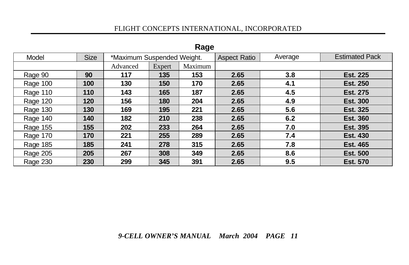| $\cdots$ |             |                            |        |         |                     |         |                       |  |  |  |  |
|----------|-------------|----------------------------|--------|---------|---------------------|---------|-----------------------|--|--|--|--|
| Model    | <b>Size</b> | *Maximum Suspended Weight. |        |         | <b>Aspect Ratio</b> | Average | <b>Estimated Pack</b> |  |  |  |  |
|          |             | Advanced                   | Expert | Maximum |                     |         |                       |  |  |  |  |
| Rage 90  | 90          | 117                        | 135    | 153     | 2.65                | 3.8     | <b>Est. 225</b>       |  |  |  |  |
| Rage 100 | 100         | 130                        | 150    | 170     | 2.65                | 4.1     | <b>Est. 250</b>       |  |  |  |  |
| Rage 110 | 110         | 143                        | 165    | 187     | 2.65                | 4.5     | <b>Est. 275</b>       |  |  |  |  |
| Rage 120 | 120         | 156                        | 180    | 204     | 2.65                | 4.9     | <b>Est. 300</b>       |  |  |  |  |
| Rage 130 | 130         | 169                        | 195    | 221     | 2.65                | 5.6     | <b>Est. 325</b>       |  |  |  |  |
| Rage 140 | 140         | 182                        | 210    | 238     | 2.65                | 6.2     | <b>Est. 360</b>       |  |  |  |  |
| Rage 155 | 155         | 202                        | 233    | 264     | 2.65                | 7.0     | <b>Est. 395</b>       |  |  |  |  |
| Rage 170 | 170         | 221                        | 255    | 289     | 2.65                | 7.4     | <b>Est. 430</b>       |  |  |  |  |
| Rage 185 | 185         | 241                        | 278    | 315     | 2.65                | 7.8     | <b>Est. 465</b>       |  |  |  |  |
| Rage 205 | 205         | 267                        | 308    | 349     | 2.65                | 8.6     | <b>Est. 500</b>       |  |  |  |  |
| Rage 230 | 230         | 299                        | 345    | 391     | 2.65                | 9.5     | <b>Est. 570</b>       |  |  |  |  |

#### **Rage**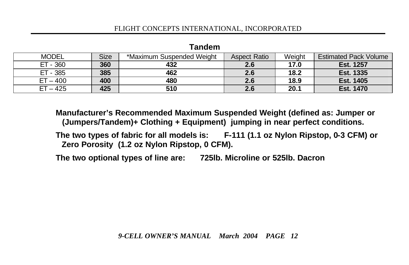| <b>MODEL</b> | Size | *Maximum Suspended Weight | <b>Aspect Ratio</b> | Weight | <b>Estimated Pack Volume</b> |  |  |  |  |  |  |  |
|--------------|------|---------------------------|---------------------|--------|------------------------------|--|--|--|--|--|--|--|
| ET - 360     | 360  | 432                       | 2.6                 | 17.0   | Est. 1257                    |  |  |  |  |  |  |  |
| ET - 385     | 385  | 462                       | 2.6                 | 18.2   | <b>Est. 1335</b>             |  |  |  |  |  |  |  |
| $ET - 400$   | 400  | 480                       | 2.6                 | 18.9   | Est. 1405                    |  |  |  |  |  |  |  |
| $ET - 425$   | 425  | 510                       | 2.6                 | 20.1   | <b>Est. 1470</b>             |  |  |  |  |  |  |  |

#### **Tandem**

**Manufacturer's Recommended Maximum Suspended Weight (defined as: Jumper or (Jumpers/Tandem)+ Clothing + Equipment) jumping in near perfect conditions.**

**The two types of fabric for all models is: F-111 (1.1 oz Nylon Ripstop, 0-3 CFM) or Zero Porosity (1.2 oz Nylon Ripstop, 0 CFM).**

**The two optional types of line are: 725lb. Microline or 525lb. Dacron**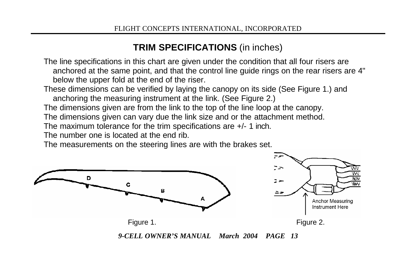### **TRIM SPECIFICATIONS** (in inches)

The line specifications in this chart are given under the condition that all four risers are anchored at the same point, and that the control line guide rings on the rear risers are 4" below the upper fold at the end of the riser.

These dimensions can be verified by laying the canopy on its side (See Figure 1.) and anchoring the measuring instrument at the link. (See Figure 2.)

The dimensions given are from the link to the top of the line loop at the canopy.

The dimensions given can vary due the link size and or the attachment method.

The maximum tolerance for the trim specifications are +/- 1 inch.

The number one is located at the end rib.

The measurements on the steering lines are with the brakes set.

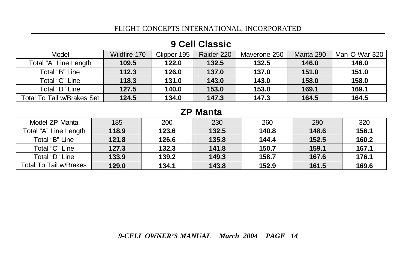| Model                      | Wildfire 170 | Clipper 195 | Raider 220 | Maverone 250 | Manta 290 | Man-O-War 320 |
|----------------------------|--------------|-------------|------------|--------------|-----------|---------------|
| Total "A" Line Length      | 109.5        | 122.0       | 132.5      | 132.5        | 146.0     | 146.0         |
| Total "B" Line             | 112.3        | 126.0       | 137.0      | 137.0        | 151.0     | 151.0         |
| Total "C" Line             | 118.3        | 131.0       | 143.0      | 143.0        | 158.0     | 158.0         |
| Total "D" Line             | 127.5        | 140.0       | 153.0      | 153.0        | 169.1     | 169.1         |
| Total To Tail w/Brakes Set | 124.5        | 134.0       | 147.3      | 147.3        | 164.5     | 164.5         |

#### **9 Cell Classic**

#### **ZP Manta**

| Model ZP Manta                | 185   | 200   | 230   | 260   | 290   | 320   |
|-------------------------------|-------|-------|-------|-------|-------|-------|
| Total "A" Line Length         | 118.9 | 123.6 | 132.5 | 140.8 | 148.6 | 156.1 |
| Total "B" Line                | 121.8 | 126.6 | 135.8 | 144.4 | 152.5 | 160.2 |
| Total "C" Line                | 127.3 | 132.3 | 141.8 | 150.7 | 159.1 | 167.1 |
| Total "D" Line                | 133.9 | 139.2 | 149.3 | 158.7 | 167.6 | 176.1 |
| <b>Total To Tail w/Brakes</b> | 129.0 | 134.1 | 143.8 | 152.9 | 161.5 | 169.6 |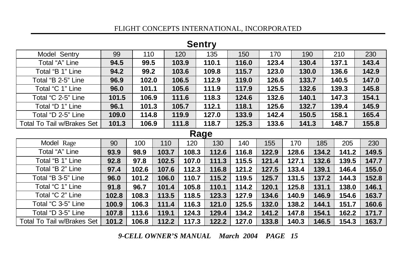| OVIILI V                          |       |       |       |       |       |       |       |       |       |  |  |
|-----------------------------------|-------|-------|-------|-------|-------|-------|-------|-------|-------|--|--|
| Model Sentry                      | 99    | 110   | 120   | 135   | 150   | 170   | 190   | 210   | 230   |  |  |
| Total "A" Line                    | 94.5  | 99.5  | 103.9 | 110.1 | 116.0 | 123.4 | 130.4 | 137.1 | 143.4 |  |  |
| Total "B 1" Line                  | 94.2  | 99.2  | 103.6 | 109.8 | 115.7 | 123.0 | 130.0 | 136.6 | 142.9 |  |  |
| Total "B 2-5" Line                | 96.9  | 102.0 | 106.5 | 112.9 | 119.0 | 126.6 | 133.7 | 140.5 | 147.0 |  |  |
| Total "C 1" Line                  | 96.0  | 101.1 | 105.6 | 111.9 | 117.9 | 125.5 | 132.6 | 139.3 | 145.8 |  |  |
| Total "C 2-5" Line                | 101.5 | 106.9 | 111.6 | 118.3 | 124.6 | 132.6 | 140.1 | 147.3 | 154.1 |  |  |
| Total "D 1" Line                  | 96.1  | 101.3 | 105.7 | 112.1 | 118.1 | 125.6 | 132.7 | 139.4 | 145.9 |  |  |
| Total "D 2-5" Line                | 109.0 | 114.8 | 119.9 | 127.0 | 133.9 | 142.4 | 150.5 | 158.1 | 165.4 |  |  |
| <b>Total To Tail w/Brakes Set</b> | 101.3 | 106.9 | 111.8 | 118.7 | 125.3 | 133.6 | 141.3 | 148.7 | 155.8 |  |  |

#### **Sentry**

#### **Rage**

| Model Rage                 | 90    | 100   | 110   | 120   | 130   | 140   | 155   | 170   | 185   | 205   | 230   |
|----------------------------|-------|-------|-------|-------|-------|-------|-------|-------|-------|-------|-------|
| Total "A" Line             | 93.9  | 98.9  | 103.7 | 108.3 | 112.6 | 116.8 | 122.9 | 128.6 | 134.2 | 141.2 | 149.5 |
| Total "B 1" Line           | 92.8  | 97.8  | 102.5 | 107.0 | 111.3 | 115.5 | 121.4 | 127.1 | 132.6 | 139.5 | 147.7 |
| Total "B 2" Line           | 97.4  | 102.6 | 107.6 | 112.3 | 116.8 | 121.2 | 127.5 | 133.4 | 139.1 | 146.4 | 155.0 |
| Total "B 3-5" Line         | 96.0  | 101.2 | 106.0 | 110.7 | 115.2 | 119.5 | 125.7 | 131.5 | 137.2 | 144.3 | 152.8 |
| Total "C 1" Line           | 91.8  | 96.7  | 101.4 | 105.8 | 110.1 | 114.2 | 120.1 | 125.8 | 131.1 | 138.0 | 146.1 |
| Total "C 2" Line           | 102.8 | 108.3 | 113.5 | 118.5 | 123.3 | 127.9 | 134.6 | 140.9 | 146.9 | 154.6 | 163.7 |
| Total "C 3-5" Line         | 100.9 | 106.3 | 111.4 | 116.3 | 121.0 | 125.5 | 132.0 | 138.2 | 144.1 | 151.7 | 160.6 |
| Total "D 3-5" Line         | 107.8 | 113.6 | 119.1 | 124.3 | 129.4 | 134.2 | 141.2 | 147.8 | 154.1 | 162.2 | 171.7 |
| Total To Tail w/Brakes Set | 101.2 | 106.8 | 112.2 | 117.3 | 122.2 | 127.0 | 133.8 | 140.3 | 146.5 | 154.3 | 163.7 |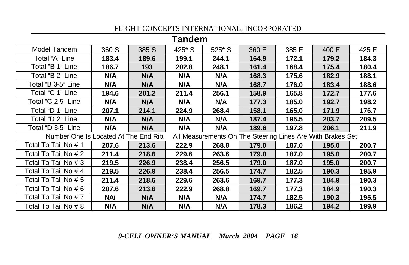| <b>Tandem</b>                                                                                       |            |       |           |        |       |       |       |       |
|-----------------------------------------------------------------------------------------------------|------------|-------|-----------|--------|-------|-------|-------|-------|
| Model Tandem                                                                                        | 360 S      | 385 S | $425^*$ S | 525* S | 360 E | 385 E | 400 E | 425 E |
| Total "A" Line                                                                                      | 183.4      | 189.6 | 199.1     | 244.1  | 164.9 | 172.1 | 179.2 | 184.3 |
| Total "B 1" Line                                                                                    | 186.7      | 193   | 202.8     | 248.1  | 161.4 | 168.4 | 175.4 | 180.4 |
| Total "B 2" Line                                                                                    | N/A        | N/A   | N/A       | N/A    | 168.3 | 175.6 | 182.9 | 188.1 |
| Total "B 3-5" Line                                                                                  | N/A        | N/A   | N/A       | N/A    | 168.7 | 176.0 | 183.4 | 188.6 |
| Total "C 1" Line                                                                                    | 194.6      | 201.2 | 211.4     | 256.1  | 158.9 | 165.8 | 172.7 | 177.6 |
| Total "C 2-5" Line                                                                                  | N/A        | N/A   | N/A       | N/A    | 177.3 | 185.0 | 192.7 | 198.2 |
| Total "D 1" Line                                                                                    | 207.1      | 214.1 | 224.9     | 268.4  | 158.1 | 165.0 | 171.9 | 176.7 |
| Total "D 2" Line                                                                                    | N/A        | N/A   | N/A       | N/A    | 187.4 | 195.5 | 203.7 | 209.5 |
| Total "D 3-5" Line                                                                                  | N/A        | N/A   | N/A       | N/A    | 189.6 | 197.8 | 206.1 | 211.9 |
| Number One Is Located At The End Rib.<br>All Measurements On The Steering Lines Are With Brakes Set |            |       |           |        |       |       |       |       |
| Total To Tail No # 1                                                                                | 207.6      | 213.6 | 222.9     | 268.8  | 179.0 | 187.0 | 195.0 | 200.7 |
| Total To Tail No # 2                                                                                | 211.4      | 218.6 | 229.6     | 263.6  | 179.0 | 187.0 | 195.0 | 200.7 |
| Total To Tail No # 3                                                                                | 219.5      | 226.9 | 238.4     | 256.5  | 179.0 | 187.0 | 195.0 | 200.7 |
| Total To Tail No # 4                                                                                | 219.5      | 226.9 | 238.4     | 256.5  | 174.7 | 182.5 | 190.3 | 195.9 |
| Total To Tail No # 5                                                                                | 211.4      | 218.6 | 229.6     | 263.6  | 169.7 | 177.3 | 184.9 | 190.3 |
| Total To Tail No # 6                                                                                | 207.6      | 213.6 | 222.9     | 268.8  | 169.7 | 177.3 | 184.9 | 190.3 |
| Total To Tail No # 7                                                                                | <b>NA/</b> | N/A   | N/A       | N/A    | 174.7 | 182.5 | 190.3 | 195.5 |
| Total To Tail No # 8                                                                                | N/A        | N/A   | N/A       | N/A    | 178.3 | 186.2 | 194.2 | 199.9 |

*9-CELL OWNER'S MANUAL March 2004 PAGE 16*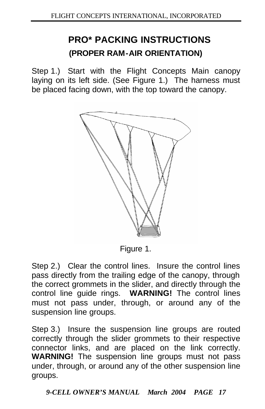### **PRO\* PACKING INSTRUCTIONS (PROPER RAM-AIR ORIENTATION)**

Step 1.) Start with the Flight Concepts Main canopy laying on its left side. (See Figure 1.) The harness must be placed facing down, with the top toward the canopy.



Figure 1.

Step 2.) Clear the control lines. Insure the control lines pass directly from the trailing edge of the canopy, through the correct grommets in the slider, and directly through the control line guide rings. **WARNING!** The control lines must not pass under, through, or around any of the suspension line groups.

Step 3.) Insure the suspension line groups are routed correctly through the slider grommets to their respective connector links, and are placed on the link correctly. **WARNING!** The suspension line groups must not pass under, through, or around any of the other suspension line groups.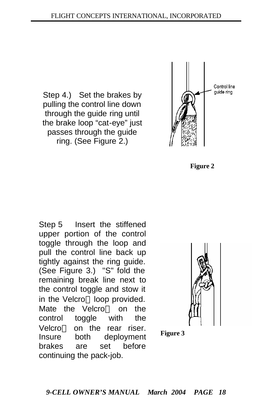Step 4.) Set the brakes by pulling the control line down through the guide ring until the brake loop "cat-eye" just passes through the guide ring. (See Figure 2.)



**Figure 2**

Step 5 Insert the stiffened upper portion of the control toggle through the loop and pull the control line back up tightly against the ring guide. (See Figure 3.) "S" fold the remaining break line next to the control toggle and stow it in the Velcro<sup> $M$ </sup> loop provided. Mate the Velcro<sup> $TM$ </sup> on the control toggle with the Velcro<sup>™</sup> on the rear riser. Insure both deployment brakes are set before continuing the pack-job.



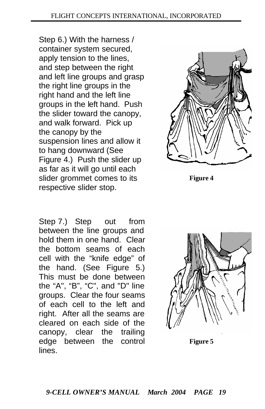Step 6.) With the harness / container system secured, apply tension to the lines, and step between the right and left line groups and grasp the right line groups in the right hand and the left line groups in the left hand. Push the slider toward the canopy, and walk forward. Pick up the canopy by the suspension lines and allow it to hang downward (See Figure 4.) Push the slider up as far as it will go until each slider grommet comes to its respective slider stop.





**Figure 4**



**Figure 5**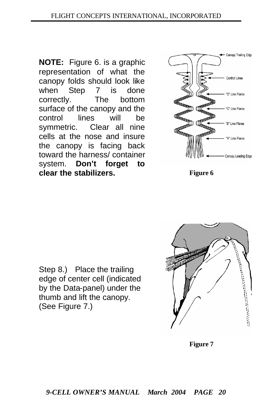**NOTE:** Figure 6. is a graphic representation of what the canopy folds should look like when Step 7 is done correctly. The bottom surface of the canopy and the control lines will be symmetric. Clear all nine cells at the nose and insure the canopy is facing back toward the harness/ container system. **Don't forget to clear the stabilizers.** Figure 6



Step 8.) Place the trailing edge of center cell (indicated by the Data-panel) under the thumb and lift the canopy. (See Figure 7.)



**Figure 7**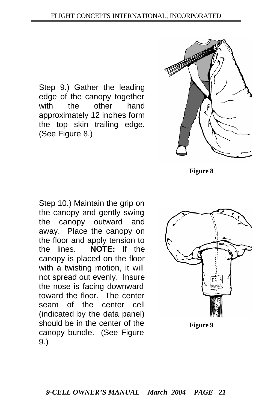Step 9.) Gather the leading edge of the canopy together with the other hand approximately 12 inches form the top skin trailing edge. (See Figure 8.)



**Figure 8**

Step 10.) Maintain the grip on the canopy and gently swing the canopy outward and away. Place the canopy on the floor and apply tension to the lines. **NOTE:** If the canopy is placed on the floor with a twisting motion, it will not spread out evenly. Insure the nose is facing downward toward the floor. The center seam of the center cell (indicated by the data panel) should be in the center of the canopy bundle. (See Figure 9.)

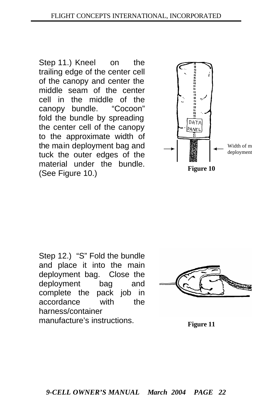Step 11.) Kneel on the trailing edge of the center cell of the canopy and center the middle seam of the center cell in the middle of the canopy bundle. "Cocoon" fold the bundle by spreading the center cell of the canopy to the approximate width of the main deployment bag and tuck the outer edges of the material under the bundle. (See Figure 10.)



Step 12.) "S" Fold the bundle and place it into the main deployment bag. Close the deployment bag and complete the pack job in accordance with the harness/container manufacture's instructions.

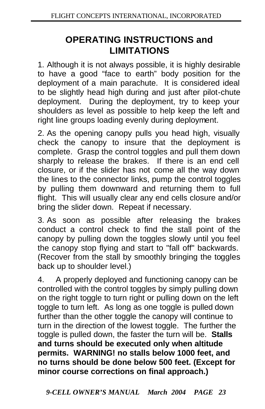### **OPERATING INSTRUCTIONS and LIMITATIONS**

1. Although it is not always possible, it is highly desirable to have a good "face to earth" body position for the deployment of a main parachute. It is considered ideal to be slightly head high during and just after pilot-chute deployment. During the deployment, try to keep your shoulders as level as possible to help keep the left and right line groups loading evenly during deployment.

2. As the opening canopy pulls you head high, visually check the canopy to insure that the deployment is complete. Grasp the control toggles and pull them down sharply to release the brakes. If there is an end cell closure, or if the slider has not come all the way down the lines to the connector links, pump the control toggles by pulling them downward and returning them to full flight. This will usually clear any end cells closure and/or bring the slider down. Repeat if necessary.

3. As soon as possible after releasing the brakes conduct a control check to find the stall point of the canopy by pulling down the toggles slowly until you feel the canopy stop flying and start to "fall off" backwards. (Recover from the stall by smoothly bringing the toggles back up to shoulder level.)

4. A properly deployed and functioning canopy can be controlled with the control toggles by simply pulling down on the right toggle to turn right or pulling down on the left toggle to turn left. As long as one toggle is pulled down further than the other toggle the canopy will continue to turn in the direction of the lowest toggle. The further the toggle is pulled down, the faster the turn will be. **Stalls and turns should be executed only when altitude permits. WARNING! no stalls below 1000 feet, and no turns should be done below 500 feet. (Except for minor course corrections on final approach.)**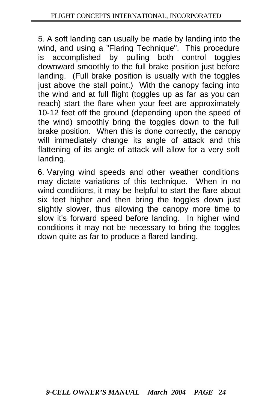5. A soft landing can usually be made by landing into the wind, and using a "Flaring Technique". This procedure is accomplished by pulling both control toggles downward smoothly to the full brake position just before landing. (Full brake position is usually with the toggles just above the stall point.) With the canopy facing into the wind and at full flight (toggles up as far as you can reach) start the flare when your feet are approximately 10-12 feet off the ground (depending upon the speed of the wind) smoothly bring the toggles down to the full brake position. When this is done correctly, the canopy will immediately change its angle of attack and this flattening of its angle of attack will allow for a very soft landing.

6. Varying wind speeds and other weather conditions may dictate variations of this technique. When in no wind conditions, it may be helpful to start the flare about six feet higher and then bring the toggles down just slightly slower, thus allowing the canopy more time to slow it's forward speed before landing. In higher wind conditions it may not be necessary to bring the toggles down quite as far to produce a flared landing.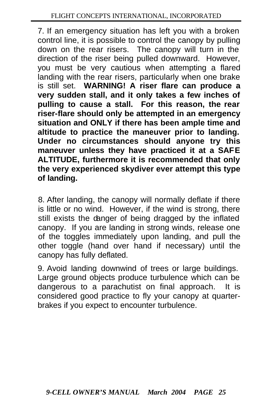7. If an emergency situation has left you with a broken control line, it is possible to control the canopy by pulling down on the rear risers. The canopy will turn in the direction of the riser being pulled downward. However, you must be very cautious when attempting a flared landing with the rear risers, particularly when one brake is still set. **WARNING! A riser flare can produce a very sudden stall, and it only takes a few inches of pulling to cause a stall. For this reason, the rear riser-flare should only be attempted in an emergency situation and ONLY if there has been ample time and altitude to practice the maneuver prior to landing. Under no circumstances should anyone try this maneuver unless they have practiced it at a SAFE ALTITUDE, furthermore it is recommended that only the very experienced skydiver ever attempt this type of landing.**

8. After landing, the canopy will normally deflate if there is little or no wind. However, if the wind is strong, there still exists the danger of being dragged by the inflated canopy. If you are landing in strong winds, release one of the toggles immediately upon landing, and pull the other toggle (hand over hand if necessary) until the canopy has fully deflated.

9. Avoid landing downwind of trees or large buildings. Large ground objects produce turbulence which can be dangerous to a parachutist on final approach. It is considered good practice to fly your canopy at quarterbrakes if you expect to encounter turbulence.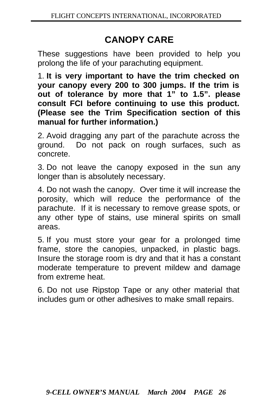### **CANOPY CARE**

These suggestions have been provided to help you prolong the life of your parachuting equipment.

1. **It is very important to have the trim checked on your canopy every 200 to 300 jumps. If the trim is out of tolerance by more that 1" to 1.5". please consult FCI before continuing to use this product. (Please see the Trim Specification section of this manual for further information.)**

2. Avoid dragging any part of the parachute across the ground. Do not pack on rough surfaces, such as concrete.

3. Do not leave the canopy exposed in the sun any longer than is absolutely necessary.

4. Do not wash the canopy. Over time it will increase the porosity, which will reduce the performance of the parachute. If it is necessary to remove grease spots, or any other type of stains, use mineral spirits on small areas.

5. If you must store your gear for a prolonged time frame, store the canopies, unpacked, in plastic bags. Insure the storage room is dry and that it has a constant moderate temperature to prevent mildew and damage from extreme heat.

6. Do not use Ripstop Tape or any other material that includes gum or other adhesives to make small repairs.